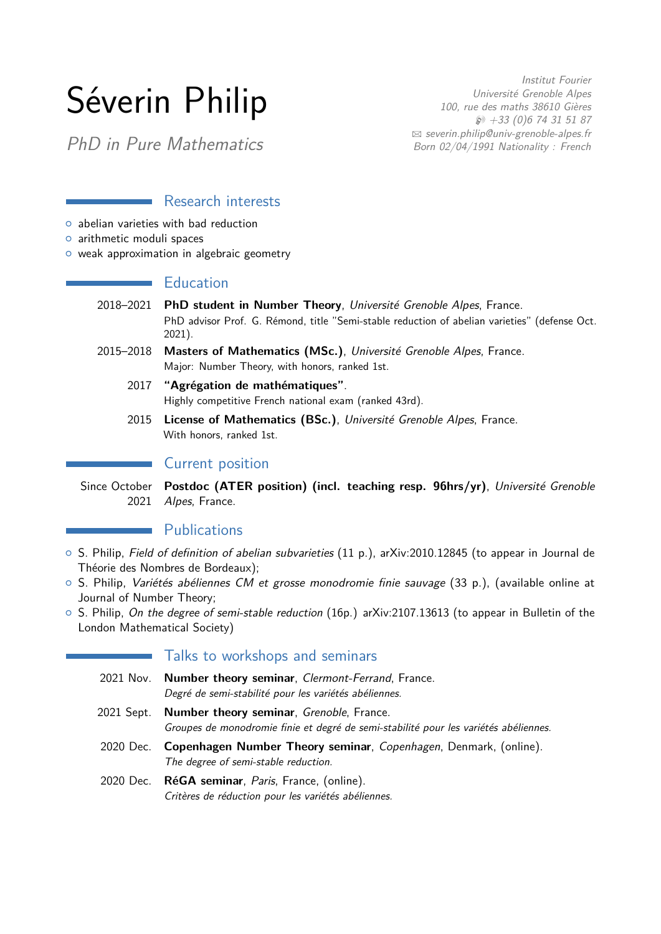# Séverin Philip

Institut Fourier Université Grenoble Alpes 100, rue des maths 38610 Gières  $\wp$  +33 (0)6 74 31 51 87  $\boxtimes$  [severin.philip@univ-grenoble-alpes.fr](mailto:severin.philip@univ-grenoble-alpes.fr) Born 02/04/1991 Nationality : French

PhD in Pure Mathematics

### Research interests

- $\circ$  abelian varieties with bad reduction
- o arithmetic moduli spaces

o weak approximation in algebraic geometry

# Education

- 2018–2021 **PhD student in Number Theory**, Université Grenoble Alpes, France. PhD advisor Prof. G. Rémond, title "Semi-stable reduction of abelian varieties" (defense Oct. 2021).
- 2015–2018 **Masters of Mathematics (MSc.)**, Université Grenoble Alpes, France. Major: Number Theory, with honors, ranked 1st.
	- 2017 **"Agrégation de mathématiques"**. Highly competitive French national exam (ranked 43rd).
	- 2015 **License of Mathematics (BSc.)**, Université Grenoble Alpes, France. With honors, ranked 1st.

# Current position

Since October 2021 **Postdoc (ATER position) (incl. teaching resp. 96hrs/yr)**, Université Grenoble Alpes, France.

# **Publications**

- { S. Philip, Field of definition of abelian subvarieties (11 p.), [arXiv:2010.12845](https://arxiv.org/abs/2010.12845) (to appear in Journal de Théorie des Nombres de Bordeaux);
- $\circ$  S. Philip, *Variétés abéliennes CM et grosse monodromie finie sauvage* (33 p.), (available online at [Journal of Number Theory;](https://authors.elsevier.com/a/1eim-,WUB7Pnr)
- S. Philip, On the degree of semi-stable reduction (16p.) [arXiv:2107.13613](https://arxiv.org/pdf/2107.13613.pdf) (to appear in Bulletin of the London Mathematical Society)

# Talks to workshops and seminars

- 2021 Nov. **Number theory seminar**, Clermont-Ferrand, France. Degré de semi-stabilité pour les variétés abéliennes.
- 2021 Sept. **Number theory seminar**, Grenoble, France. Groupes de monodromie finie et degré de semi-stabilité pour les variétés abéliennes.
- 2020 Dec. **Copenhagen Number Theory seminar**, Copenhagen, Denmark, (online). The degree of semi-stable reduction.
- 2020 Dec. **RéGA seminar**, Paris, France, (online). Critères de réduction pour les variétés abéliennes.